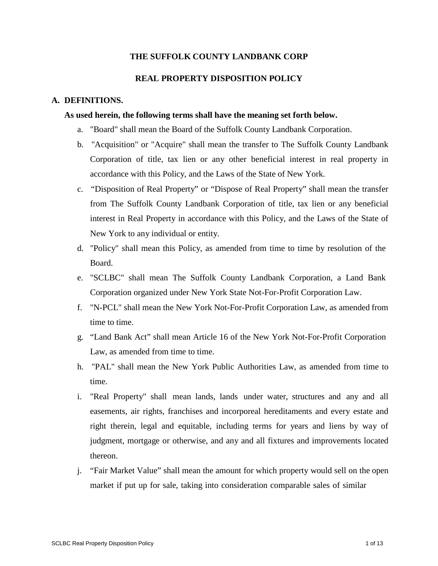# **THE SUFFOLK COUNTY LANDBANK CORP**

## **REAL PROPERTY DISPOSITION POLICY**

### **A. DEFINITIONS.**

#### **As used herein, the following terms shall have the meaning set forth below.**

- a. "Board" shall mean the Board of the Suffolk County Landbank Corporation.
- b. "Acquisition" or "Acquire" shall mean the transfer to The Suffolk County Landbank Corporation of title, tax lien or any other beneficial interest in real property in accordance with this Policy, and the Laws of the State of New York.
- c. "Disposition of Real Property" or "Dispose of Real Property" shall mean the transfer from The Suffolk County Landbank Corporation of title, tax lien or any beneficial interest in Real Property in accordance with this Policy, and the Laws of the State of New York to any individual or entity.
- d. "Policy" shall mean this Policy, as amended from time to time by resolution of the Board.
- e. "SCLBC" shall mean The Suffolk County Landbank Corporation, a Land Bank Corporation organized under New York State Not-For-Profit Corporation Law.
- f. "N-PCL" shall mean the New York Not-For-Profit Corporation Law, as amended from time to time.
- g. "Land Bank Act" shall mean Article 16 of the New York Not-For-Profit Corporation Law, as amended from time to time.
- h. "PAL" shall mean the New York Public Authorities Law, as amended from time to time.
- i. "Real Property" shall mean lands, lands under water, structures and any and all easements, air rights, franchises and incorporeal hereditaments and every estate and right therein, legal and equitable, including terms for years and liens by way of judgment, mortgage or otherwise, and any and all fixtures and improvements located thereon.
- j. "Fair Market Value" shall mean the amount for which property would sell on the open market if put up for sale, taking into consideration comparable sales of similar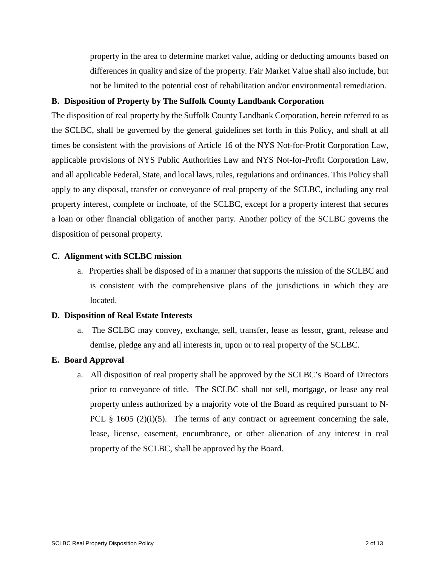property in the area to determine market value, adding or deducting amounts based on differences in quality and size of the property. Fair Market Value shall also include, but not be limited to the potential cost of rehabilitation and/or environmental remediation.

### **B. Disposition of Property by The Suffolk County Landbank Corporation**

The disposition of real property by the Suffolk County Landbank Corporation, herein referred to as the SCLBC, shall be governed by the general guidelines set forth in this Policy, and shall at all times be consistent with the provisions of Article 16 of the NYS Not-for-Profit Corporation Law, applicable provisions of NYS Public Authorities Law and NYS Not-for-Profit Corporation Law, and all applicable Federal, State, and local laws, rules, regulations and ordinances. This Policy shall apply to any disposal, transfer or conveyance of real property of the SCLBC, including any real property interest, complete or inchoate, of the SCLBC, except for a property interest that secures a loan or other financial obligation of another party. Another policy of the SCLBC governs the disposition of personal property.

#### **C. Alignment with SCLBC mission**

a. Properties shall be disposed of in a manner that supports the mission of the SCLBC and is consistent with the comprehensive plans of the jurisdictions in which they are located.

## **D. Disposition of Real Estate Interests**

a. The SCLBC may convey, exchange, sell, transfer, lease as lessor, grant, release and demise, pledge any and all interests in, upon or to real property of the SCLBC.

#### **E. Board Approval**

a. All disposition of real property shall be approved by the SCLBC's Board of Directors prior to conveyance of title. The SCLBC shall not sell, mortgage, or lease any real property unless authorized by a majority vote of the Board as required pursuant to N-PCL  $\S$  1605 (2)(i)(5). The terms of any contract or agreement concerning the sale, lease, license, easement, encumbrance, or other alienation of any interest in real property of the SCLBC, shall be approved by the Board.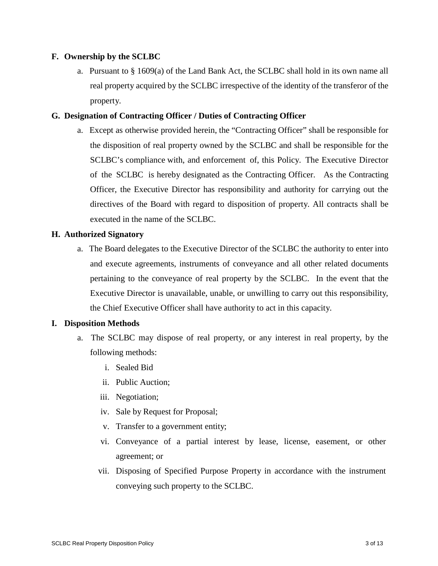## **F. Ownership by the SCLBC**

a. Pursuant to § 1609(a) of the Land Bank Act, the SCLBC shall hold in its own name all real property acquired by the SCLBC irrespective of the identity of the transferor of the property.

# **G. Designation of Contracting Officer / Duties of Contracting Officer**

a. Except as otherwise provided herein, the "Contracting Officer" shall be responsible for the disposition of real property owned by the SCLBC and shall be responsible for the SCLBC's compliance with, and enforcement of, this Policy. The Executive Director of the SCLBC is hereby designated as the Contracting Officer. As the Contracting Officer, the Executive Director has responsibility and authority for carrying out the directives of the Board with regard to disposition of property. All contracts shall be executed in the name of the SCLBC.

## **H. Authorized Signatory**

a. The Board delegates to the Executive Director of the SCLBC the authority to enter into and execute agreements, instruments of conveyance and all other related documents pertaining to the conveyance of real property by the SCLBC. In the event that the Executive Director is unavailable, unable, or unwilling to carry out this responsibility, the Chief Executive Officer shall have authority to act in this capacity.

## **I. Disposition Methods**

- a. The SCLBC may dispose of real property, or any interest in real property, by the following methods:
	- i. Sealed Bid
	- ii. Public Auction;
	- iii. Negotiation;
	- iv. Sale by Request for Proposal;
	- v. Transfer to a government entity;
	- vi. Conveyance of a partial interest by lease, license, easement, or other agreement; or
	- vii. Disposing of Specified Purpose Property in accordance with the instrument conveying such property to the SCLBC.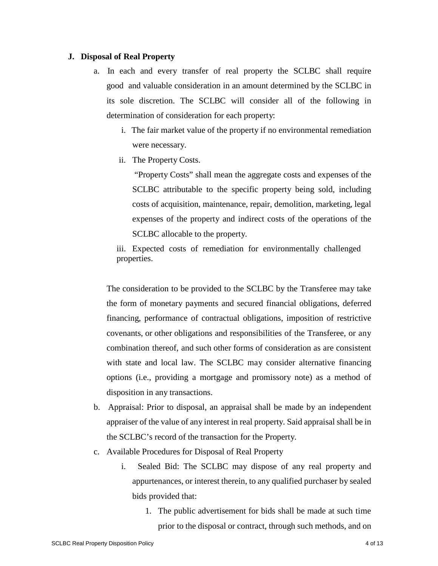### **J. Disposal of Real Property**

- a. In each and every transfer of real property the SCLBC shall require good and valuable consideration in an amount determined by the SCLBC in its sole discretion. The SCLBC will consider all of the following in determination of consideration for each property:
	- i. The fair market value of the property if no environmental remediation were necessary.
	- ii. The Property Costs.

"Property Costs" shall mean the aggregate costs and expenses of the SCLBC attributable to the specific property being sold, including costs of acquisition, maintenance, repair, demolition, marketing, legal expenses of the property and indirect costs of the operations of the SCLBC allocable to the property.

iii. Expected costs of remediation for environmentally challenged properties.

The consideration to be provided to the SCLBC by the Transferee may take the form of monetary payments and secured financial obligations, deferred financing, performance of contractual obligations, imposition of restrictive covenants, or other obligations and responsibilities of the Transferee, or any combination thereof, and such other forms of consideration as are consistent with state and local law. The SCLBC may consider alternative financing options (i.e., providing a mortgage and promissory note) as a method of disposition in any transactions.

- b. Appraisal: Prior to disposal, an appraisal shall be made by an independent appraiser of the value of any interest in real property. Said appraisal shall be in the SCLBC's record of the transaction for the Property.
- c. Available Procedures for Disposal of Real Property
	- i. Sealed Bid: The SCLBC may dispose of any real property and appurtenances, or interest therein, to any qualified purchaser by sealed bids provided that:
		- 1. The public advertisement for bids shall be made at such time prior to the disposal or contract, through such methods, and on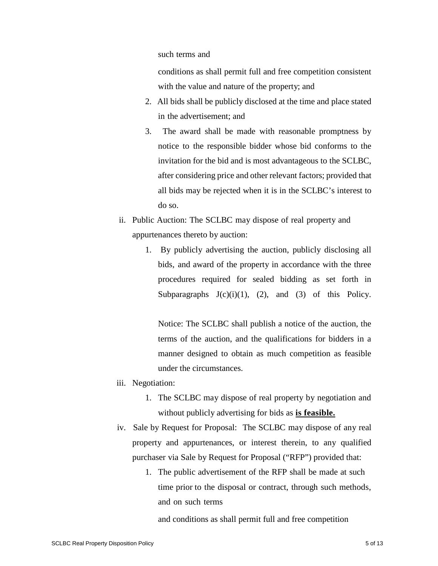such terms and

conditions as shall permit full and free competition consistent with the value and nature of the property; and

- 2. All bids shall be publicly disclosed at the time and place stated in the advertisement; and
- 3. The award shall be made with reasonable promptness by notice to the responsible bidder whose bid conforms to the invitation for the bid and is most advantageous to the SCLBC, after considering price and other relevant factors; provided that all bids may be rejected when it is in the SCLBC's interest to do so.
- ii. Public Auction: The SCLBC may dispose of real property and appurtenances thereto by auction:
	- 1. By publicly advertising the auction, publicly disclosing all bids, and award of the property in accordance with the three procedures required for sealed bidding as set forth in Subparagraphs  $J(c)(i)(1)$ , (2), and (3) of this Policy.

Notice: The SCLBC shall publish a notice of the auction, the terms of the auction, and the qualifications for bidders in a manner designed to obtain as much competition as feasible under the circumstances.

- iii. Negotiation:
	- 1. The SCLBC may dispose of real property by negotiation and without publicly advertising for bids as **is feasible.**
- iv. Sale by Request for Proposal: The SCLBC may dispose of any real property and appurtenances, or interest therein, to any qualified purchaser via Sale by Request for Proposal ("RFP") provided that:
	- 1. The public advertisement of the RFP shall be made at such time prior to the disposal or contract, through such methods, and on such terms

and conditions as shall permit full and free competition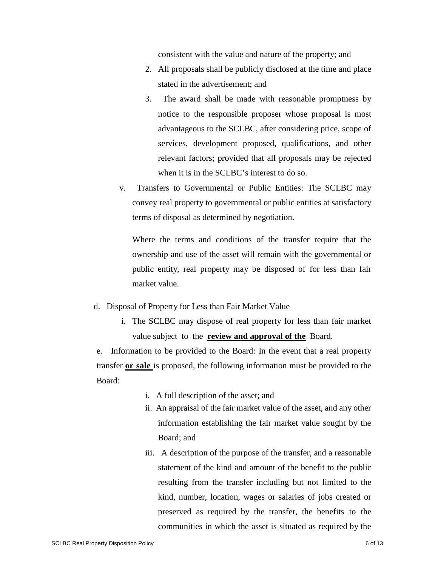consistent with the value and nature of the property; and

- 2. All proposals shall be publicly disclosed at the time and place stated in the advertisement; and
- 3. The award shall be made with reasonable promptness by notice to the responsible proposer whose proposal is most advantageous to the SCLBC, after considering price, scope of services, development proposed, qualifications, and other relevant factors; provided that all proposals may be rejected when it is in the SCLBC's interest to do so.
- v. Transfers to Governmental or Public Entities: The SCLBC may convey real property to governmental or public entities at satisfactory terms of disposal as determined by negotiation.

Where the terms and conditions of the transfer require that the ownership and use of the asset will remain with the governmental or public entity, real property may be disposed of for less than fair market value.

- d. Disposal of Property for Less than Fair Market Value
	- i. The SCLBC may dispose of real property for less than fair market value subject to the **review and approval of the** Board.

e. Information to be provided to the Board: In the event that a real property transfer **or sale** is proposed, the following information must be provided to the Board:

- i. A full description of the asset; and
- ii. An appraisal of the fair market value of the asset, and any other information establishing the fair market value sought by the Board; and
- iii. A description of the purpose of the transfer, and a reasonable statement of the kind and amount of the benefit to the public resulting from the transfer including but not limited to the kind, number, location, wages or salaries of jobs created or preserved as required by the transfer, the benefits to the communities in which the asset is situated as required by the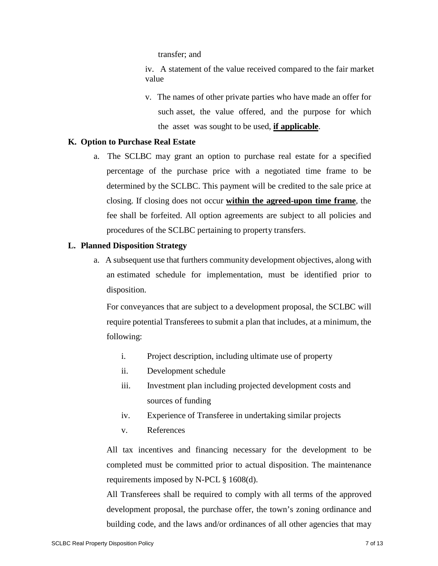transfer; and

iv. A statement of the value received compared to the fair market value

v. The names of other private parties who have made an offer for such asset, the value offered, and the purpose for which the asset was sought to be used, **if applicable**.

## **K. Option to Purchase Real Estate**

a. The SCLBC may grant an option to purchase real estate for a specified percentage of the purchase price with a negotiated time frame to be determined by the SCLBC. This payment will be credited to the sale price at closing. If closing does not occur **within the agreed-upon time frame**, the fee shall be forfeited. All option agreements are subject to all policies and procedures of the SCLBC pertaining to property transfers.

### **L. Planned Disposition Strategy**

a. A subsequent use that furthers community development objectives, along with an estimated schedule for implementation, must be identified prior to disposition.

For conveyances that are subject to a development proposal, the SCLBC will require potential Transferees to submit a plan that includes, at a minimum, the following:

- i. Project description, including ultimate use of property
- ii. Development schedule
- iii. Investment plan including projected development costs and sources of funding
- iv. Experience of Transferee in undertaking similar projects
- v. References

All tax incentives and financing necessary for the development to be completed must be committed prior to actual disposition. The maintenance requirements imposed by N-PCL § 1608(d).

All Transferees shall be required to comply with all terms of the approved development proposal, the purchase offer, the town's zoning ordinance and building code, and the laws and/or ordinances of all other agencies that may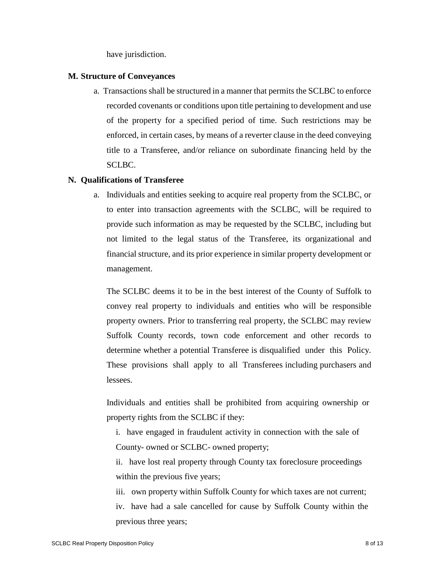have jurisdiction.

### **M. Structure of Conveyances**

a. Transactions shall be structured in a manner that permits the SCLBC to enforce recorded covenants or conditions upon title pertaining to development and use of the property for a specified period of time. Such restrictions may be enforced, in certain cases, by means of a reverter clause in the deed conveying title to a Transferee, and/or reliance on subordinate financing held by the SCLBC.

## **N. Qualifications of Transferee**

a. Individuals and entities seeking to acquire real property from the SCLBC, or to enter into transaction agreements with the SCLBC, will be required to provide such information as may be requested by the SCLBC, including but not limited to the legal status of the Transferee, its organizational and financial structure, and its prior experience in similar property development or management.

The SCLBC deems it to be in the best interest of the County of Suffolk to convey real property to individuals and entities who will be responsible property owners. Prior to transferring real property, the SCLBC may review Suffolk County records, town code enforcement and other records to determine whether a potential Transferee is disqualified under this Policy. These provisions shall apply to all Transferees including purchasers and lessees.

Individuals and entities shall be prohibited from acquiring ownership or property rights from the SCLBC if they:

i. have engaged in fraudulent activity in connection with the sale of County- owned or SCLBC- owned property;

ii. have lost real property through County tax foreclosure proceedings within the previous five years;

iii. own property within Suffolk County for which taxes are not current; iv. have had a sale cancelled for cause by Suffolk County within the previous three years;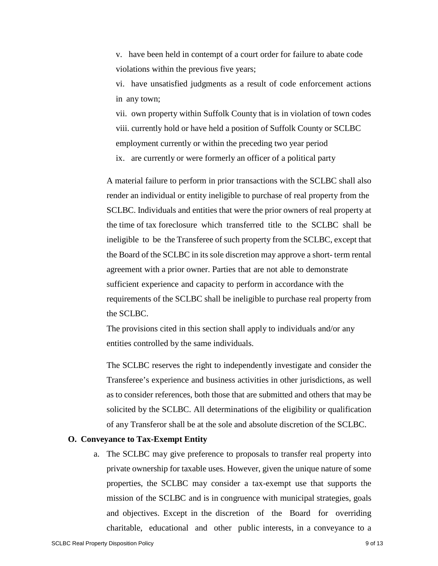v. have been held in contempt of a court order for failure to abate code violations within the previous five years;

vi. have unsatisfied judgments as a result of code enforcement actions in any town;

vii. own property within Suffolk County that is in violation of town codes viii. currently hold or have held a position of Suffolk County or SCLBC employment currently or within the preceding two year period

ix. are currently or were formerly an officer of a political party

A material failure to perform in prior transactions with the SCLBC shall also render an individual or entity ineligible to purchase of real property from the SCLBC. Individuals and entities that were the prior owners of real property at the time of tax foreclosure which transferred title to the SCLBC shall be ineligible to be the Transferee of such property from the SCLBC, except that the Board of the SCLBC in its sole discretion may approve a short- term rental agreement with a prior owner. Parties that are not able to demonstrate sufficient experience and capacity to perform in accordance with the requirements of the SCLBC shall be ineligible to purchase real property from the SCLBC.

The provisions cited in this section shall apply to individuals and/or any entities controlled by the same individuals.

The SCLBC reserves the right to independently investigate and consider the Transferee's experience and business activities in other jurisdictions, as well as to consider references, both those that are submitted and others that may be solicited by the SCLBC. All determinations of the eligibility or qualification of any Transferor shall be at the sole and absolute discretion of the SCLBC.

## **O. Conveyance to Tax-Exempt Entity**

a. The SCLBC may give preference to proposals to transfer real property into private ownership for taxable uses. However, given the unique nature of some properties, the SCLBC may consider a tax-exempt use that supports the mission of the SCLBC and is in congruence with municipal strategies, goals and objectives. Except in the discretion of the Board for overriding charitable, educational and other public interests, in a conveyance to a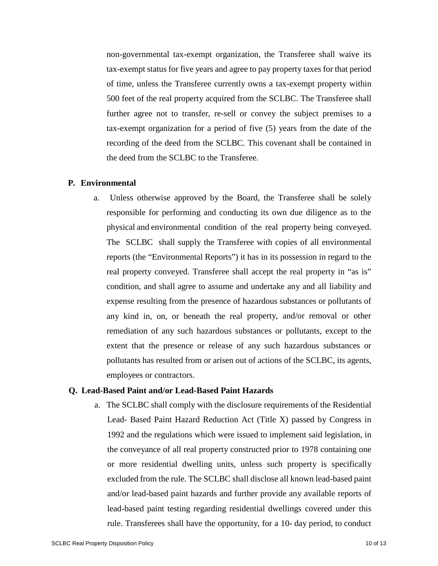non-governmental tax-exempt organization, the Transferee shall waive its tax-exempt status for five years and agree to pay property taxes for that period of time, unless the Transferee currently owns a tax-exempt property within 500 feet of the real property acquired from the SCLBC. The Transferee shall further agree not to transfer, re-sell or convey the subject premises to a tax-exempt organization for a period of five (5) years from the date of the recording of the deed from the SCLBC. This covenant shall be contained in the deed from the SCLBC to the Transferee.

### **P. Environmental**

a. Unless otherwise approved by the Board, the Transferee shall be solely responsible for performing and conducting its own due diligence as to the physical and environmental condition of the real property being conveyed. The SCLBC shall supply the Transferee with copies of all environmental reports (the "Environmental Reports") it has in its possession in regard to the real property conveyed. Transferee shall accept the real property in "as is" condition, and shall agree to assume and undertake any and all liability and expense resulting from the presence of hazardous substances or pollutants of any kind in, on, or beneath the real property, and/or removal or other remediation of any such hazardous substances or pollutants, except to the extent that the presence or release of any such hazardous substances or pollutants has resulted from or arisen out of actions of the SCLBC, its agents, employees or contractors.

## **Q. Lead-Based Paint and/or Lead-Based Paint Hazards**

a. The SCLBC shall comply with the disclosure requirements of the Residential Lead- Based Paint Hazard Reduction Act (Title X) passed by Congress in 1992 and the regulations which were issued to implement said legislation, in the conveyance of all real property constructed prior to 1978 containing one or more residential dwelling units, unless such property is specifically excluded from the rule. The SCLBC shall disclose all known lead-based paint and/or lead-based paint hazards and further provide any available reports of lead-based paint testing regarding residential dwellings covered under this rule. Transferees shall have the opportunity, for a 10- day period, to conduct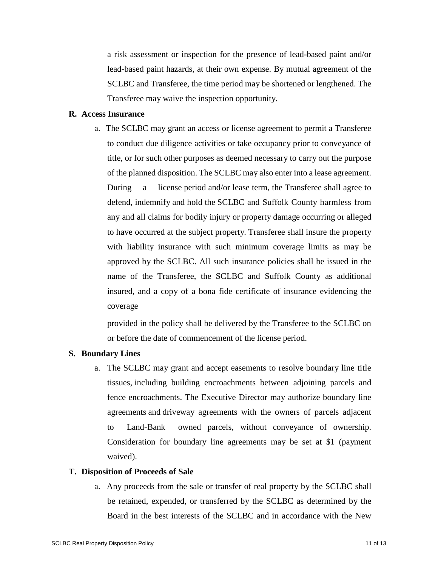a risk assessment or inspection for the presence of lead-based paint and/or lead-based paint hazards, at their own expense. By mutual agreement of the SCLBC and Transferee, the time period may be shortened or lengthened. The Transferee may waive the inspection opportunity.

## **R. Access Insurance**

a. The SCLBC may grant an access or license agreement to permit a Transferee to conduct due diligence activities or take occupancy prior to conveyance of title, or for such other purposes as deemed necessary to carry out the purpose of the planned disposition. The SCLBC may also enter into a lease agreement. During a license period and/or lease term, the Transferee shall agree to defend, indemnify and hold the SCLBC and Suffolk County harmless from any and all claims for bodily injury or property damage occurring or alleged to have occurred at the subject property. Transferee shall insure the property with liability insurance with such minimum coverage limits as may be approved by the SCLBC. All such insurance policies shall be issued in the name of the Transferee, the SCLBC and Suffolk County as additional insured, and a copy of a bona fide certificate of insurance evidencing the coverage

provided in the policy shall be delivered by the Transferee to the SCLBC on or before the date of commencement of the license period.

# **S. Boundary Lines**

a. The SCLBC may grant and accept easements to resolve boundary line title tissues, including building encroachments between adjoining parcels and fence encroachments. The Executive Director may authorize boundary line agreements and driveway agreements with the owners of parcels adjacent to Land-Bank owned parcels, without conveyance of ownership. Consideration for boundary line agreements may be set at \$1 (payment waived).

#### **T. Disposition of Proceeds of Sale**

a. Any proceeds from the sale or transfer of real property by the SCLBC shall be retained, expended, or transferred by the SCLBC as determined by the Board in the best interests of the SCLBC and in accordance with the New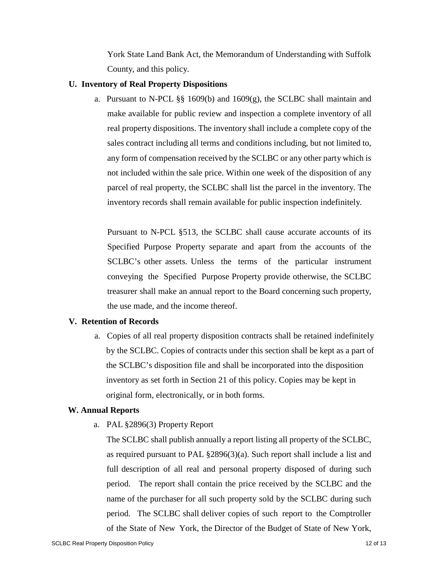York State Land Bank Act, the Memorandum of Understanding with Suffolk County, and this policy.

## **U. Inventory of Real Property Dispositions**

a. Pursuant to N-PCL §§ 1609(b) and 1609(g), the SCLBC shall maintain and make available for public review and inspection a complete inventory of all real property dispositions. The inventory shall include a complete copy of the sales contract including all terms and conditions including, but not limited to, any form of compensation received by the SCLBC or any other party which is not included within the sale price. Within one week of the disposition of any parcel of real property, the SCLBC shall list the parcel in the inventory. The inventory records shall remain available for public inspection indefinitely.

Pursuant to N-PCL §513, the SCLBC shall cause accurate accounts of its Specified Purpose Property separate and apart from the accounts of the SCLBC's other assets. Unless the terms of the particular instrument conveying the Specified Purpose Property provide otherwise, the SCLBC treasurer shall make an annual report to the Board concerning such property, the use made, and the income thereof.

# **V. Retention of Records**

a. Copies of all real property disposition contracts shall be retained indefinitely by the SCLBC. Copies of contracts under this section shall be kept as a part of the SCLBC's disposition file and shall be incorporated into the disposition inventory as set forth in Section 21 of this policy. Copies may be kept in original form, electronically, or in both forms.

# **W. Annual Reports**

a. PAL §2896(3) Property Report

The SCLBC shall publish annually a report listing all property of the SCLBC, as required pursuant to PAL §2896(3)(a). Such report shall include a list and full description of all real and personal property disposed of during such period. The report shall contain the price received by the SCLBC and the name of the purchaser for all such property sold by the SCLBC during such period. The SCLBC shall deliver copies of such report to the Comptroller of the State of New York, the Director of the Budget of State of New York,